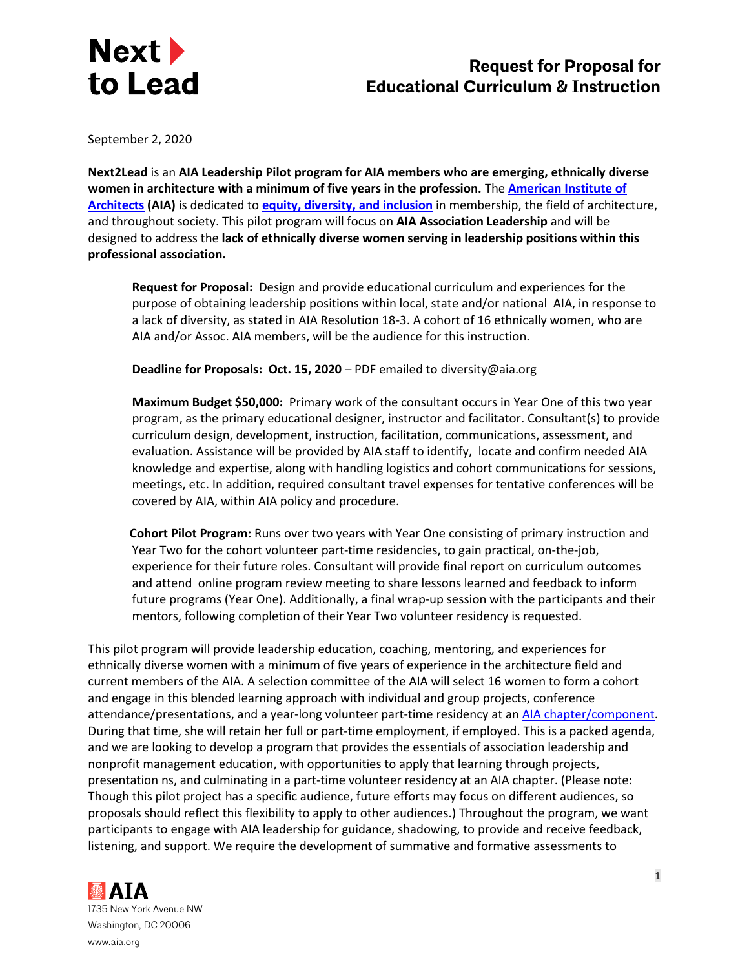

September 2, 2020

**Next2Lead** is an **AIA Leadership Pilot program for AIA members who are emerging, ethnically diverse women in architecture with a minimum of five years in the profession.** The **[American Institute of](https://www.aia.org/)  [Architects](https://www.aia.org/) (AIA)** is dedicated to **[equity, diversity, and inclusion](https://www.aia.org/resources/24301-equity-diversity-and-inclusion)** in membership, the field of architecture, and throughout society. This pilot program will focus on **AIA Association Leadership** and will be designed to address the **lack of ethnically diverse women serving in leadership positions within this professional association.** 

**Request for Proposal:** Design and provide educational curriculum and experiences for the purpose of obtaining leadership positions within local, state and/or national AIA, in response to a lack of diversity, as stated in AIA Resolution 18-3. A cohort of 16 ethnically women, who are AIA and/or Assoc. AIA members, will be the audience for this instruction.

**Deadline for Proposals: Oct. 15, 2020** – PDF emailed to diversity@aia.org

**Maximum Budget \$50,000:** Primary work of the consultant occurs in Year One of this two year program, as the primary educational designer, instructor and facilitator. Consultant(s) to provide curriculum design, development, instruction, facilitation, communications, assessment, and evaluation. Assistance will be provided by AIA staff to identify, locate and confirm needed AIA knowledge and expertise, along with handling logistics and cohort communications for sessions, meetings, etc. In addition, required consultant travel expenses for tentative conferences will be covered by AIA, within AIA policy and procedure.

**Cohort Pilot Program:** Runs over two years with Year One consisting of primary instruction and Year Two for the cohort volunteer part-time residencies, to gain practical, on-the-job, experience for their future roles. Consultant will provide final report on curriculum outcomes and attend online program review meeting to share lessons learned and feedback to inform future programs (Year One). Additionally, a final wrap-up session with the participants and their mentors, following completion of their Year Two volunteer residency is requested.

This pilot program will provide leadership education, coaching, mentoring, and experiences for ethnically diverse women with a minimum of five years of experience in the architecture field and current members of the AIA. A selection committee of the AIA will select 16 women to form a cohort and engage in this blended learning approach with individual and group projects, conference attendance/presentations, and a year-long volunteer part-time residency at an [AIA chapter/component.](https://www.aia.org/find-chapter) During that time, she will retain her full or part-time employment, if employed. This is a packed agenda, and we are looking to develop a program that provides the essentials of association leadership and nonprofit management education, with opportunities to apply that learning through projects, presentation ns, and culminating in a part-time volunteer residency at an AIA chapter. (Please note: Though this pilot project has a specific audience, future efforts may focus on different audiences, so proposals should reflect this flexibility to apply to other audiences.) Throughout the program, we want participants to engage with AIA leadership for guidance, shadowing, to provide and receive feedback, listening, and support. We require the development of summative and formative assessments to

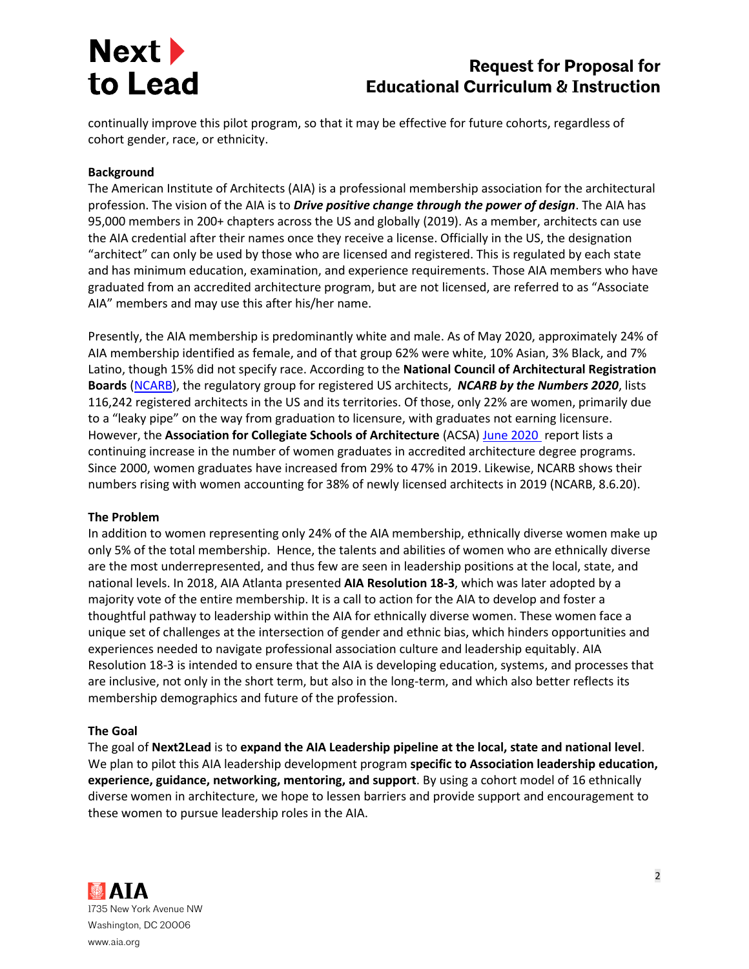# **Request for Proposal for Educational Curriculum & Instruction**

continually improve this pilot program, so that it may be effective for future cohorts, regardless of cohort gender, race, or ethnicity.

### **Background**

The American Institute of Architects (AIA) is a professional membership association for the architectural profession. The vision of the AIA is to *Drive positive change through the power of design*. The AIA has 95,000 members in 200+ chapters across the US and globally (2019). As a member, architects can use the AIA credential after their names once they receive a license. Officially in the US, the designation "architect" can only be used by those who are licensed and registered. This is regulated by each state and has minimum education, examination, and experience requirements. Those AIA members who have graduated from an accredited architecture program, but are not licensed, are referred to as "Associate AIA" members and may use this after his/her name.

Presently, the AIA membership is predominantly white and male. As of May 2020, approximately 24% of AIA membership identified as female, and of that group 62% were white, 10% Asian, 3% Black, and 7% Latino, though 15% did not specify race. According to the **National Council of Architectural Registration Boards** [\(NCARB\)](https://www.ncarb.org/nbtn2020), the regulatory group for registered US architects, *NCARB by the Numbers 2020*, lists 116,242 registered architects in the US and its territories. Of those, only 22% are women, primarily due to a "leaky pipe" on the way from graduation to licensure, with graduates not earning licensure. However, the **Association for Collegiate Schools of Architecture** (ACSA) [June 2020](https://www.acsa-arch.org/resources/data-resources/where-are-the-women-measuring-progress-on-gender-in-architecture-2/) report lists a continuing increase in the number of women graduates in accredited architecture degree programs. Since 2000, women graduates have increased from 29% to 47% in 2019. Likewise, NCARB shows their numbers rising with women accounting for 38% of newly licensed architects in 2019 (NCARB, 8.6.20).

#### **The Problem**

In addition to women representing only 24% of the AIA membership, ethnically diverse women make up only 5% of the total membership. Hence, the talents and abilities of women who are ethnically diverse are the most underrepresented, and thus few are seen in leadership positions at the local, state, and national levels. In 2018, AIA Atlanta presented **AIA Resolution 18-3**, which was later adopted by a majority vote of the entire membership. It is a call to action for the AIA to develop and foster a thoughtful pathway to leadership within the AIA for ethnically diverse women. These women face a unique set of challenges at the intersection of gender and ethnic bias, which hinders opportunities and experiences needed to navigate professional association culture and leadership equitably. AIA Resolution 18-3 is intended to ensure that the AIA is developing education, systems, and processes that are inclusive, not only in the short term, but also in the long-term, and which also better reflects its membership demographics and future of the profession.

#### **The Goal**

The goal of **Next2Lead** is to **expand the AIA Leadership pipeline at the local, state and national level**. We plan to pilot this AIA leadership development program **specific to Association leadership education, experience, guidance, networking, mentoring, and support**. By using a cohort model of 16 ethnically diverse women in architecture, we hope to lessen barriers and provide support and encouragement to these women to pursue leadership roles in the AIA.

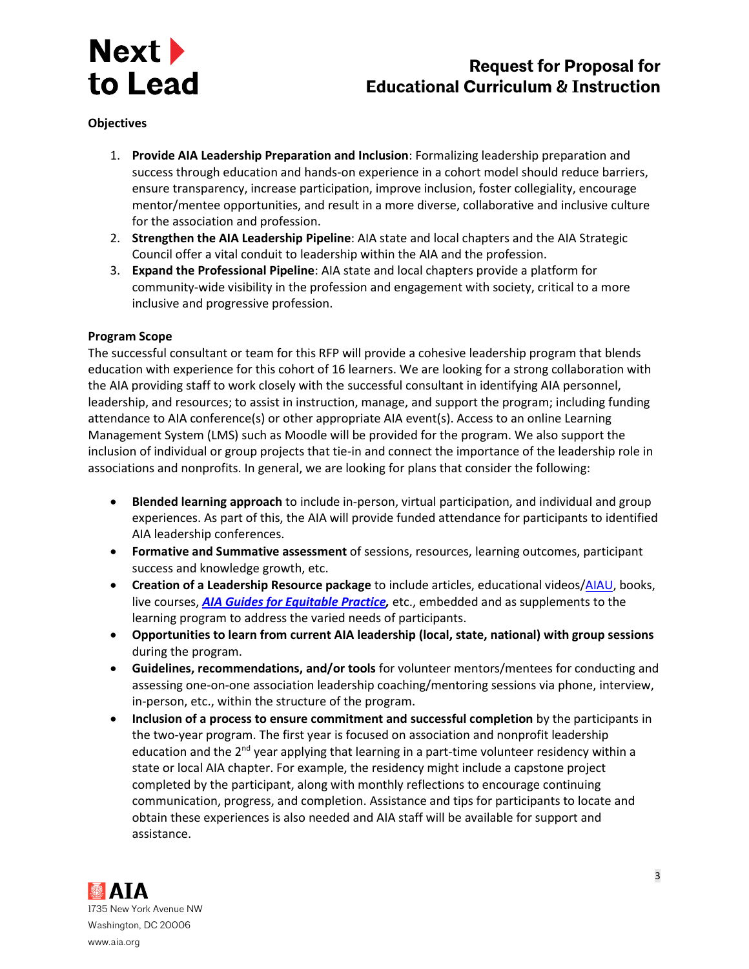

# **Request for Proposal for Educational Curriculum & Instruction**

#### **Objectives**

- 1. **Provide AIA Leadership Preparation and Inclusion**: Formalizing leadership preparation and success through education and hands-on experience in a cohort model should reduce barriers, ensure transparency, increase participation, improve inclusion, foster collegiality, encourage mentor/mentee opportunities, and result in a more diverse, collaborative and inclusive culture for the association and profession.
- 2. **Strengthen the AIA Leadership Pipeline**: AIA state and local chapters and the AIA Strategic Council offer a vital conduit to leadership within the AIA and the profession.
- 3. **Expand the Professional Pipeline**: AIA state and local chapters provide a platform for community-wide visibility in the profession and engagement with society, critical to a more inclusive and progressive profession.

#### **Program Scope**

The successful consultant or team for this RFP will provide a cohesive leadership program that blends education with experience for this cohort of 16 learners. We are looking for a strong collaboration with the AIA providing staff to work closely with the successful consultant in identifying AIA personnel, leadership, and resources; to assist in instruction, manage, and support the program; including funding attendance to AIA conference(s) or other appropriate AIA event(s). Access to an online Learning Management System (LMS) such as Moodle will be provided for the program. We also support the inclusion of individual or group projects that tie-in and connect the importance of the leadership role in associations and nonprofits. In general, we are looking for plans that consider the following:

- **Blended learning approach** to include in-person, virtual participation, and individual and group experiences. As part of this, the AIA will provide funded attendance for participants to identified AIA leadership conferences.
- **Formative and Summative assessment** of sessions, resources, learning outcomes, participant success and knowledge growth, etc.
- **Creation of a Leadership Resource package** to include articles, educational videos[/AIAU,](https://aiau.aia.org/) books, live courses, *[AIA Guides for Equitable](https://www.aia.org/resources/6076046-guides-for-equitable-practice:46) Practice,* etc., embedded and as supplements to the learning program to address the varied needs of participants.
- **Opportunities to learn from current AIA leadership (local, state, national) with group sessions**  during the program.
- **Guidelines, recommendations, and/or tools** for volunteer mentors/mentees for conducting and assessing one-on-one association leadership coaching/mentoring sessions via phone, interview, in-person, etc., within the structure of the program.
- **Inclusion of a process to ensure commitment and successful completion** by the participants in the two-year program. The first year is focused on association and nonprofit leadership education and the 2<sup>nd</sup> year applying that learning in a part-time volunteer residency within a state or local AIA chapter. For example, the residency might include a capstone project completed by the participant, along with monthly reflections to encourage continuing communication, progress, and completion. Assistance and tips for participants to locate and obtain these experiences is also needed and AIA staff will be available for support and assistance.

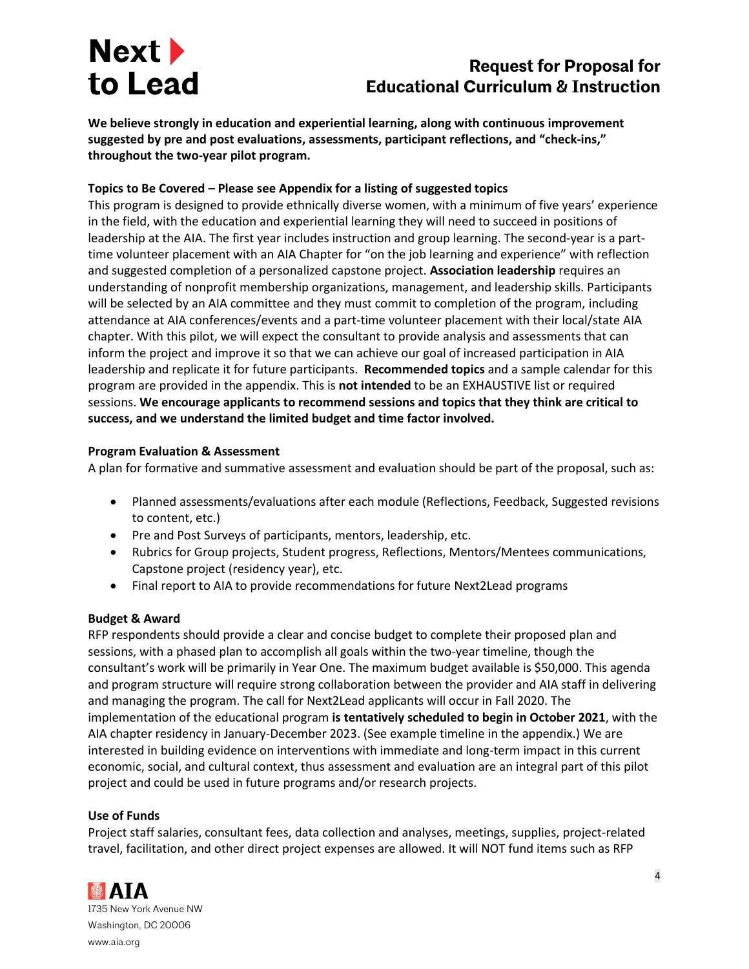# **Request for Proposal for Educational Curriculum & Instruction**

**We believe strongly in education and experiential learning, along with continuous improvement suggested by pre and post evaluations, assessments, participant reflections, and "check-ins," throughout the two-year pilot program.** 

# **Topics to Be Covered – Please see Appendix for a listing of suggested topics**

This program is designed to provide ethnically diverse women, with a minimum of five years' experience in the field, with the education and experiential learning they will need to succeed in positions of leadership at the AIA. The first year includes instruction and group learning. The second-year is a parttime volunteer placement with an AIA Chapter for "on the job learning and experience" with reflection and suggested completion of a personalized capstone project. **Association leadership** requires an understanding of nonprofit membership organizations, management, and leadership skills. Participants will be selected by an AIA committee and they must commit to completion of the program, including attendance at AIA conferences/events and a part-time volunteer placement with their local/state AIA chapter. With this pilot, we will expect the consultant to provide analysis and assessments that can inform the project and improve it so that we can achieve our goal of increased participation in AIA leadership and replicate it for future participants. **Recommended topics** and a sample calendar for this program are provided in the appendix. This is **not intended** to be an EXHAUSTIVE list or required sessions. **We encourage applicants to recommend sessions and topics that they think are critical to success, and we understand the limited budget and time factor involved.** 

# **Program Evaluation & Assessment**

A plan for formative and summative assessment and evaluation should be part of the proposal, such as:

- Planned assessments/evaluations after each module (Reflections, Feedback, Suggested revisions to content, etc.)
- Pre and Post Surveys of participants, mentors, leadership, etc.
- Rubrics for Group projects, Student progress, Reflections, Mentors/Mentees communications, Capstone project (residency year), etc.
- Final report to AIA to provide recommendations for future Next2Lead programs

# **Budget & Award**

RFP respondents should provide a clear and concise budget to complete their proposed plan and sessions, with a phased plan to accomplish all goals within the two-year timeline, though the consultant's work will be primarily in Year One. The maximum budget available is \$50,000. This agenda and program structure will require strong collaboration between the provider and AIA staff in delivering and managing the program. The call for Next2Lead applicants will occur in Fall 2020. The implementation of the educational program **is tentatively scheduled to begin in October 2021**, with the AIA chapter residency in January-December 2023. (See example timeline in the appendix.) We are interested in building evidence on interventions with immediate and long-term impact in this current economic, social, and cultural context, thus assessment and evaluation are an integral part of this pilot project and could be used in future programs and/or research projects.

# **Use of Funds**

Project staff salaries, consultant fees, data collection and analyses, meetings, supplies, project-related travel, facilitation, and other direct project expenses are allowed. It will NOT fund items such as RFP

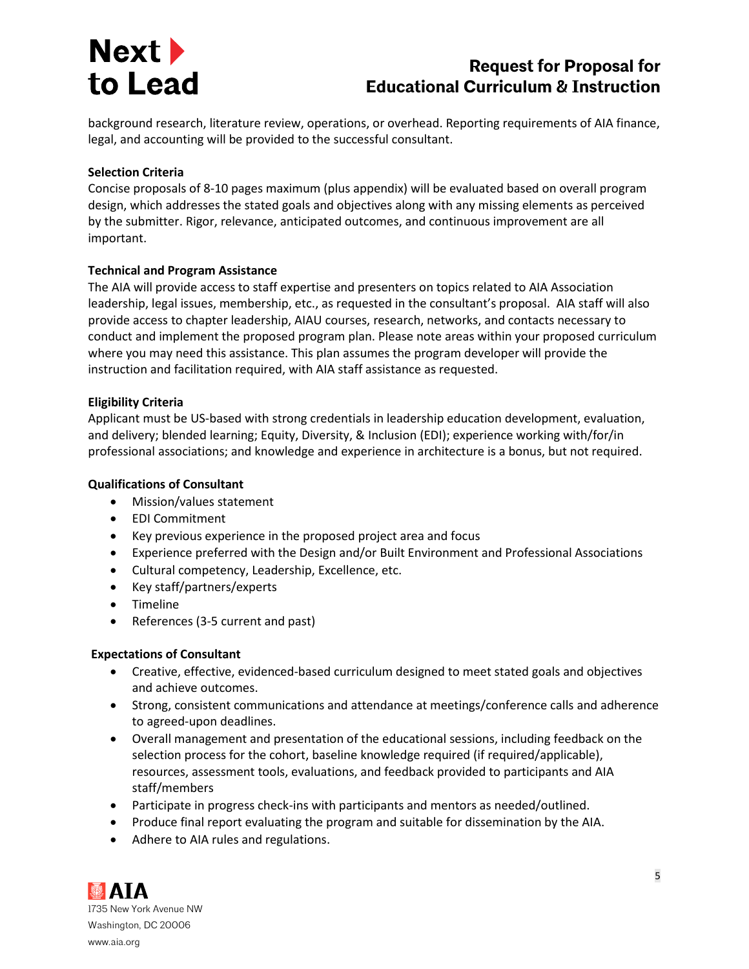# **Request for Proposal for Educational Curriculum & Instruction**

background research, literature review, operations, or overhead. Reporting requirements of AIA finance, legal, and accounting will be provided to the successful consultant.

## **Selection Criteria**

Concise proposals of 8-10 pages maximum (plus appendix) will be evaluated based on overall program design, which addresses the stated goals and objectives along with any missing elements as perceived by the submitter. Rigor, relevance, anticipated outcomes, and continuous improvement are all important.

## **Technical and Program Assistance**

The AIA will provide access to staff expertise and presenters on topics related to AIA Association leadership, legal issues, membership, etc., as requested in the consultant's proposal. AIA staff will also provide access to chapter leadership, AIAU courses, research, networks, and contacts necessary to conduct and implement the proposed program plan. Please note areas within your proposed curriculum where you may need this assistance. This plan assumes the program developer will provide the instruction and facilitation required, with AIA staff assistance as requested.

# **Eligibility Criteria**

Applicant must be US-based with strong credentials in leadership education development, evaluation, and delivery; blended learning; Equity, Diversity, & Inclusion (EDI); experience working with/for/in professional associations; and knowledge and experience in architecture is a bonus, but not required.

## **Qualifications of Consultant**

- Mission/values statement
- EDI Commitment
- Key previous experience in the proposed project area and focus
- Experience preferred with the Design and/or Built Environment and Professional Associations
- Cultural competency, Leadership, Excellence, etc.
- Key staff/partners/experts
- Timeline
- References (3-5 current and past)

## **Expectations of Consultant**

- Creative, effective, evidenced-based curriculum designed to meet stated goals and objectives and achieve outcomes.
- Strong, consistent communications and attendance at meetings/conference calls and adherence to agreed-upon deadlines.
- Overall management and presentation of the educational sessions, including feedback on the selection process for the cohort, baseline knowledge required (if required/applicable), resources, assessment tools, evaluations, and feedback provided to participants and AIA staff/members
- Participate in progress check-ins with participants and mentors as needed/outlined.
- Produce final report evaluating the program and suitable for dissemination by the AIA.
- Adhere to AIA rules and regulations.

**MAIA** 1735 New York Avenue NW Washington, DC 20006 www.aia.org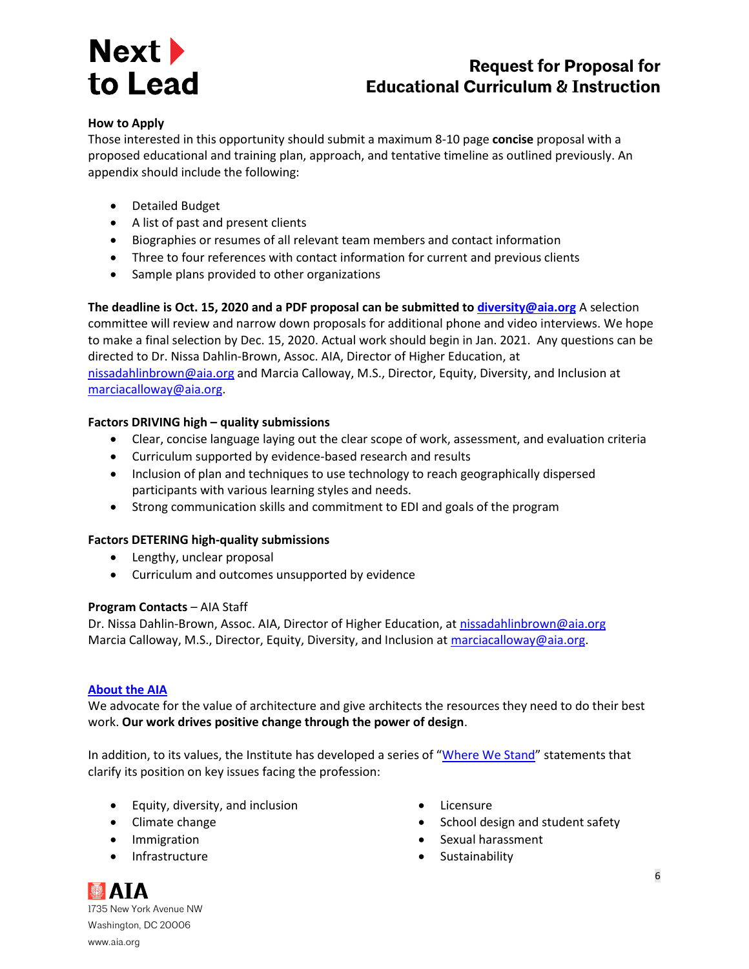# **Request for Proposal for Educational Curriculum & Instruction**

### **How to Apply**

Those interested in this opportunity should submit a maximum 8-10 page **concise** proposal with a proposed educational and training plan, approach, and tentative timeline as outlined previously. An appendix should include the following:

- Detailed Budget
- A list of past and present clients
- Biographies or resumes of all relevant team members and contact information
- Three to four references with contact information for current and previous clients
- Sample plans provided to other organizations

**The deadline is Oct. 15, 2020 and a PDF proposal can be submitted to [diversity@aia.org](mailto:diversity@aia.org)** A selection committee will review and narrow down proposals for additional phone and video interviews. We hope to make a final selection by Dec. 15, 2020. Actual work should begin in Jan. 2021. Any questions can be directed to Dr. Nissa Dahlin-Brown, Assoc. AIA, Director of Higher Education, at [nissadahlinbrown@aia.org](mailto:nissadahlinbrown@aia.org) and Marcia Calloway, M.S., Director, Equity, Diversity, and Inclusion at [marciacalloway@aia.org.](mailto:marciacalloway@aia.org)

## **Factors DRIVING high – quality submissions**

- Clear, concise language laying out the clear scope of work, assessment, and evaluation criteria
- Curriculum supported by evidence-based research and results
- Inclusion of plan and techniques to use technology to reach geographically dispersed participants with various learning styles and needs.
- Strong communication skills and commitment to EDI and goals of the program

#### **Factors DETERING high-quality submissions**

- Lengthy, unclear proposal
- Curriculum and outcomes unsupported by evidence

#### **Program Contacts** – AIA Staff

Dr. Nissa Dahlin-Brown, Assoc. AIA, Director of Higher Education, at [nissadahlinbrown@aia.org](mailto:nissadahlinbrown@aia.org) Marcia Calloway, M.S., Director, Equity, Diversity, and Inclusion a[t marciacalloway@aia.org.](mailto:marciacalloway@aia.org)

#### **[About the AIA](https://www.aia.org/about)**

We advocate for the value of architecture and give architects the resources they need to do their best work. **Our work drives positive change through the power of design**.

In addition, to its values, the Institute has developed a series of "[Where We Stand](https://www.aia.org/resources/50766-where-architects-stand-a-statement-of-our-va)" statements that clarify its position on key issues facing the profession:

- Equity, diversity, and inclusion
- Climate change
- Immigration
- Infrastructure
- Licensure
- School design and student safety
- Sexual harassment
- Sustainability

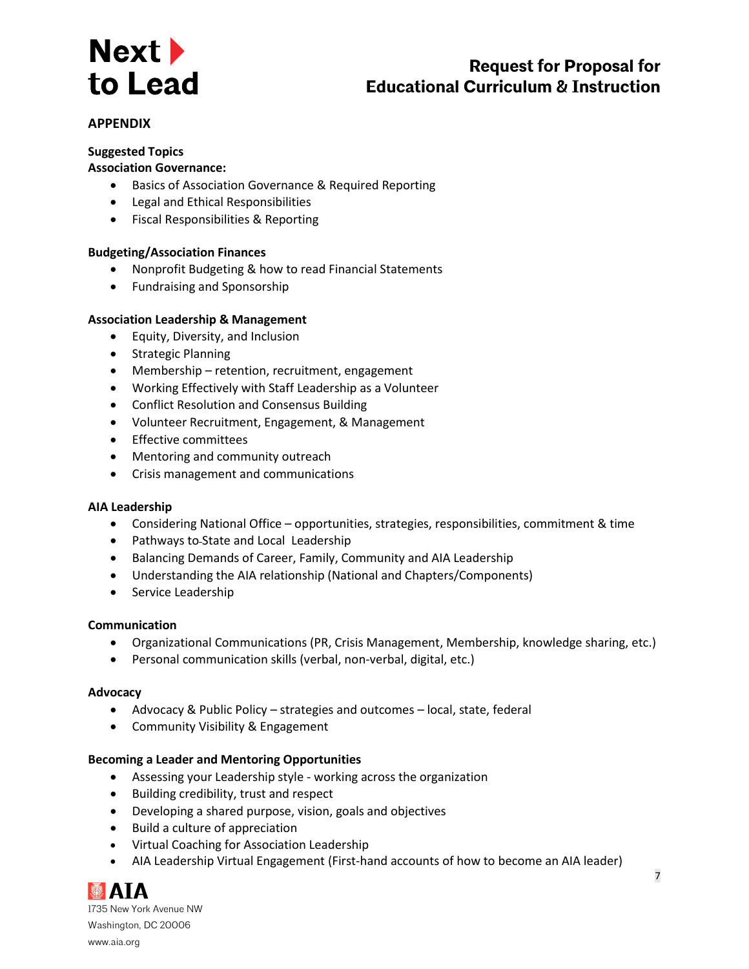# **Request for Proposal for Educational Curriculum & Instruction**

# **APPENDIX**

## **Suggested Topics**

### **Association Governance:**

- Basics of Association Governance & Required Reporting
- Legal and Ethical Responsibilities
- Fiscal Responsibilities & Reporting

#### **Budgeting/Association Finances**

- Nonprofit Budgeting & how to read Financial Statements
- Fundraising and Sponsorship

#### **Association Leadership & Management**

- Equity, Diversity, and Inclusion
- Strategic Planning
- Membership retention, recruitment, engagement
- Working Effectively with Staff Leadership as a Volunteer
- Conflict Resolution and Consensus Building
- Volunteer Recruitment, Engagement, & Management
- Effective committees
- Mentoring and community outreach
- Crisis management and communications

#### **AIA Leadership**

- Considering National Office opportunities, strategies, responsibilities, commitment & time
- Pathways to State and Local Leadership
- Balancing Demands of Career, Family, Community and AIA Leadership
- Understanding the AIA relationship (National and Chapters/Components)
- Service Leadership

#### **Communication**

- Organizational Communications (PR, Crisis Management, Membership, knowledge sharing, etc.)
- Personal communication skills (verbal, non-verbal, digital, etc.)

#### **Advocacy**

- Advocacy & Public Policy strategies and outcomes local, state, federal
- Community Visibility & Engagement

#### **Becoming a Leader and Mentoring Opportunities**

- Assessing your Leadership style working across the organization
- Building credibility, trust and respect
- Developing a shared purpose, vision, goals and objectives
- Build a culture of appreciation
- Virtual Coaching for Association Leadership
- AIA Leadership Virtual Engagement (First-hand accounts of how to become an AIA leader)



1735 New York Avenue NW Washington, DC 20006 www.aia.org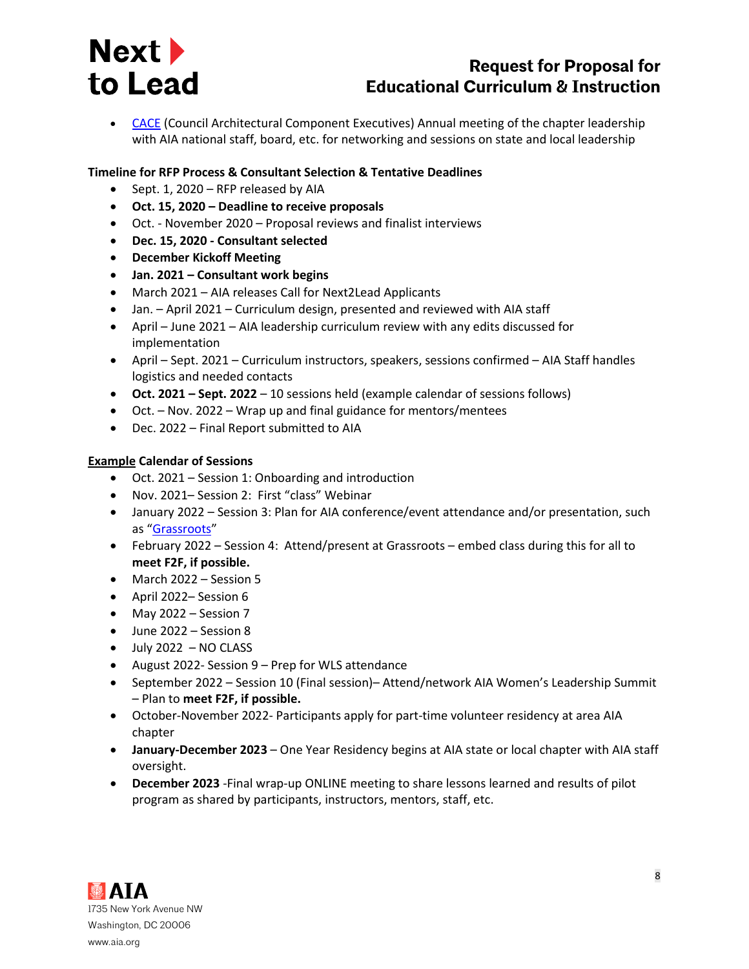

# **Request for Proposal for Educational Curriculum & Instruction**

• [CACE](https://www.aia.org/events/6299267-cace-annual-meeting-2020) (Council Architectural Component Executives) Annual meeting of the chapter leadership with AIA national staff, board, etc. for networking and sessions on state and local leadership

## **Timeline for RFP Process & Consultant Selection & Tentative Deadlines**

- Sept. 1, 2020 RFP released by AIA
- **Oct. 15, 2020 – Deadline to receive proposals**
- Oct. November 2020 Proposal reviews and finalist interviews
- **Dec. 15, 2020 - Consultant selected**
- **December Kickoff Meeting**
- **Jan. 2021 – Consultant work begins**
- March 2021 AIA releases Call for Next2Lead Applicants
- Jan. April 2021 Curriculum design, presented and reviewed with AIA staff
- April June 2021 AIA leadership curriculum review with any edits discussed for implementation
- April Sept. 2021 Curriculum instructors, speakers, sessions confirmed AIA Staff handles logistics and needed contacts
- **Oct. 2021 – Sept. 2022** 10 sessions held (example calendar of sessions follows)
- Oct. Nov. 2022 Wrap up and final guidance for mentors/mentees
- Dec. 2022 Final Report submitted to AIA

#### **Example Calendar of Sessions**

- Oct. 2021 Session 1: Onboarding and introduction
- Nov. 2021– Session 2: First "class" Webinar
- January 2022 Session 3: Plan for AIA conference/event attendance and/or presentation, such as "[Grassroots](https://www.aia.org/articles/6119317-architects-champion-purposeful-leadership-)"
- February 2022 Session 4: Attend/present at Grassroots embed class during this for all to **meet F2F, if possible.**
- March 2022 Session 5
- April 2022– Session 6
- May 2022 Session 7
- June 2022 Session 8
- $\bullet$  July 2022 NO CLASS
- August 2022- Session 9 Prep for WLS attendance
- September 2022 Session 10 (Final session)– Attend/network AIA Women's Leadership Summit – Plan to **meet F2F, if possible.**
- October-November 2022- Participants apply for part-time volunteer residency at area AIA chapter
- **January-December 2023** One Year Residency begins at AIA state or local chapter with AIA staff oversight.
- **December 2023** -Final wrap-up ONLINE meeting to share lessons learned and results of pilot program as shared by participants, instructors, mentors, staff, etc.